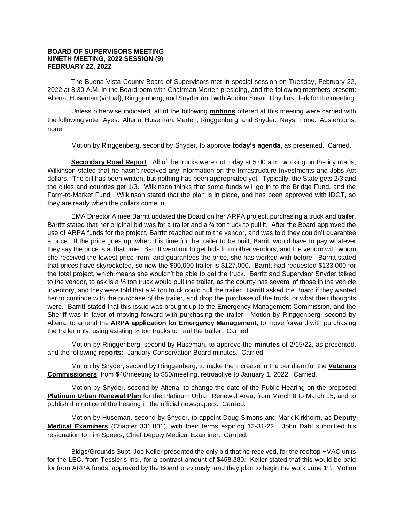## **BOARD OF SUPERVISORS MEETING NINETH MEETING, 2022 SESSION (9) FEBRUARY 22, 2022**

The Buena Vista County Board of Supervisors met in special session on Tuesday, February 22, 2022 at 8:30 A.M. in the Boardroom with Chairman Merten presiding, and the following members present: Altena, Huseman (virtual), Ringgenberg, and Snyder and with Auditor Susan Lloyd as clerk for the meeting.

Unless otherwise indicated, all of the following **motions** offered at this meeting were carried with the following vote: Ayes: Altena, Huseman, Merten, Ringgenberg, and Snyder. Nays: none. Abstentions: none.

Motion by Ringgenberg, second by Snyder, to approve **today's agenda,** as presented. Carried.

**Secondary Road Report**: All of the trucks were out today at 5:00 a.m. working on the icy roads; Wilkinson stated that he hasn't received any information on the Infrastructure Investments and Jobs Act dollars. The bill has been written, but nothing has been appropriated yet. Typically, the State gets 2/3 and the cities and counties get 1/3. Wilkinson thinks that some funds will go in to the Bridge Fund, and the Farm-to-Market Fund. Wilkinson stated that the plan is in place, and has been approved with IDOT, so they are ready when the dollars come in.

EMA Director Aimee Barritt updated the Board on her ARPA project, purchasing a truck and trailer. Barritt stated that her original bid was for a trailer and a  $\frac{3}{4}$  ton truck to pull it. After the Board approved the use of ARPA funds for the project, Barritt reached out to the vendor, and was told they couldn't guarantee a price. If the price goes up, when it is time for the trailer to be built, Barritt would have to pay whatever they say the price is at that time. Barritt went out to get bids from other vendors, and the vendor with whom she received the lowest price from, and guarantees the price, she has worked with before. Barritt stated that prices have skyrocketed, so now the \$90,000 trailer is \$127,000. Barritt had requested \$133,000 for the total project, which means she wouldn't be able to get the truck. Barritt and Supervisor Snyder talked to the vendor, to ask is a ½ ton truck would pull the trailer, as the county has several of those in the vehicle inventory, and they were told that a ½ ton truck could pull the trailer. Barritt asked the Board if they wanted her to continue with the purchase of the trailer, and drop the purchase of the truck, or what their thoughts were. Barritt stated that this issue was brought up to the Emergency Management Commission, and the Sheriff was in favor of moving forward with purchasing the trailer. Motion by Ringgenberg, second by Altena, to amend the **ARPA application for Emergency Management**, to move forward with purchasing the trailer only, using existing ½ ton trucks to haul the trailer. Carried.

Motion by Ringgenberg, second by Huseman, to approve the **minutes** of 2/15/22, as presented, and the following **reports:** January Conservation Board minutes. Carried.

Motion by Snyder, second by Ringgenberg, to make the increase in the per diem for the **Veterans Commissioners**, from \$40/meeting to \$50/meeting, retroactive to January 1, 2022. Carried.

Motion by Snyder, second by Altena, to change the date of the Public Hearing on the proposed **Platinum Urban Renewal Plan** for the Platinum Urban Renewal Area, from March 8 to March 15, and to publish the notice of the hearing in the official newspapers. Carried.

Motion by Huseman, second by Snyder, to appoint Doug Simons and Mark Kirkholm, as **Deputy Medical Examiners** (Chapter 331.801), with their terms expiring 12-31-22. John Dahl submitted his resignation to Tim Speers, Chief Deputy Medical Examiner. Carried.

Bldgs/Grounds Supt. Joe Keller presented the only bid that he received, for the rooftop HVAC units for the LEC, from Tessier's Inc., for a contract amount of \$458,380. Keller stated that this would be paid for from ARPA funds, approved by the Board previously, and they plan to begin the work June  $1<sup>st</sup>$ . Motion